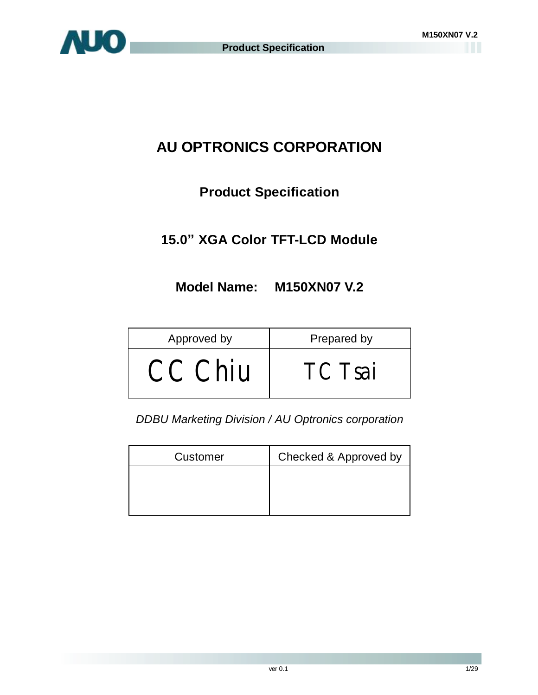

# **AU OPTRONICS CORPORATION**

# **Product Specification**

# **15.0" XGA Color TFT-LCD Module**

## **Model Name: M150XN07 V.2**

| Approved by | Prepared by |  |  |  |
|-------------|-------------|--|--|--|
| CC Chiu     | TC Tsai     |  |  |  |

*DDBU Marketing Division / AU Optronics corporation*

| Customer | Checked & Approved by |
|----------|-----------------------|
|          |                       |
|          |                       |
|          |                       |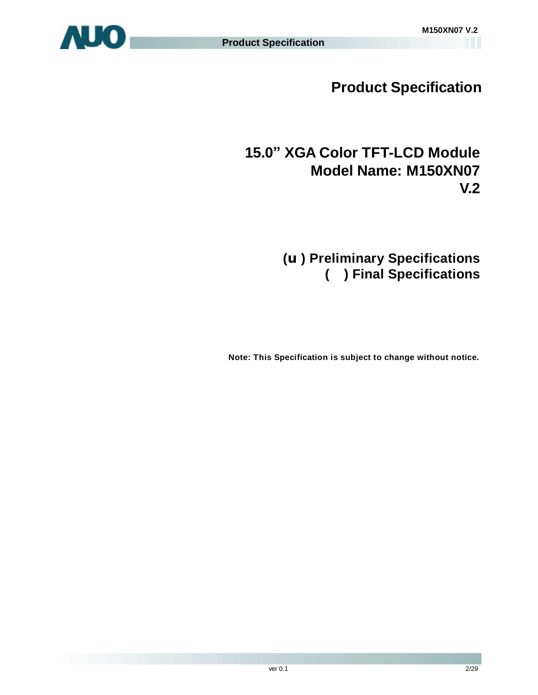

**Product Specification** 

# **15.0" XGA Color TFT-LCD Module Model Name: M150XN07 V.2**

# **(u) Preliminary Specifications ( ) Final Specifications**

 **Note: This Specification is subject to change without notice.**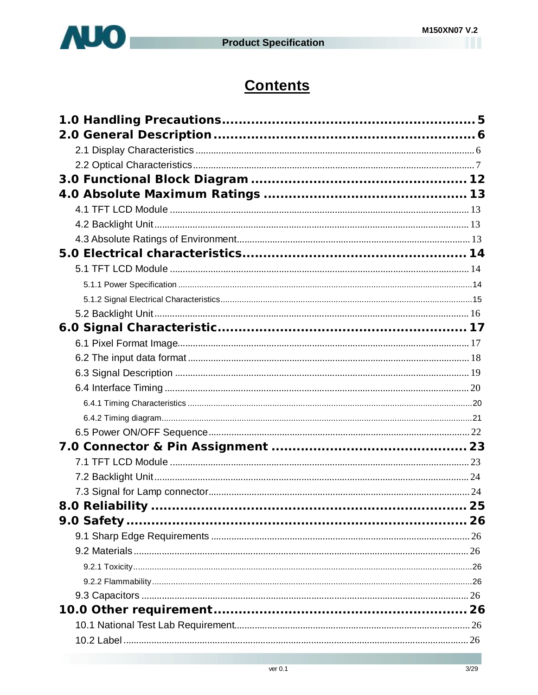



# **Contents**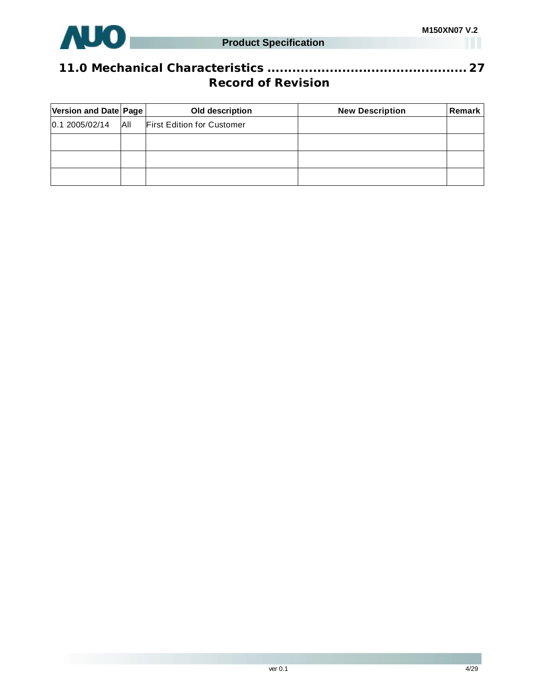

## **11.0 Mechanical Characteristics ................................................ 27 Record of Revision**

| Version and Date Page |            | Old description                   | <b>New Description</b> | Remark |
|-----------------------|------------|-----------------------------------|------------------------|--------|
| 0.1 2005/02/14        | <b>AII</b> | <b>First Edition for Customer</b> |                        |        |
|                       |            |                                   |                        |        |
|                       |            |                                   |                        |        |
|                       |            |                                   |                        |        |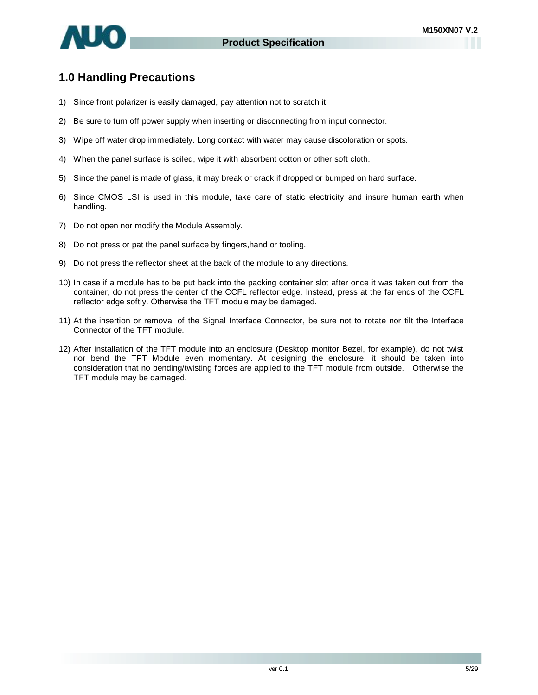

## **1.0 Handling Precautions**

- 1) Since front polarizer is easily damaged, pay attention not to scratch it.
- 2) Be sure to turn off power supply when inserting or disconnecting from input connector.
- 3) Wipe off water drop immediately. Long contact with water may cause discoloration or spots.
- 4) When the panel surface is soiled, wipe it with absorbent cotton or other soft cloth.
- 5) Since the panel is made of glass, it may break or crack if dropped or bumped on hard surface.
- 6) Since CMOS LSI is used in this module, take care of static electricity and insure human earth when handling.
- 7) Do not open nor modify the Module Assembly.
- 8) Do not press or pat the panel surface by fingers,hand or tooling.
- 9) Do not press the reflector sheet at the back of the module to any directions.
- 10) In case if a module has to be put back into the packing container slot after once it was taken out from the container, do not press the center of the CCFL reflector edge. Instead, press at the far ends of the CCFL reflector edge softly. Otherwise the TFT module may be damaged.
- 11) At the insertion or removal of the Signal Interface Connector, be sure not to rotate nor tilt the Interface Connector of the TFT module.
- 12) After installation of the TFT module into an enclosure (Desktop monitor Bezel, for example), do not twist nor bend the TFT Module even momentary. At designing the enclosure, it should be taken into consideration that no bending/twisting forces are applied to the TFT module from outside. Otherwise the TFT module may be damaged.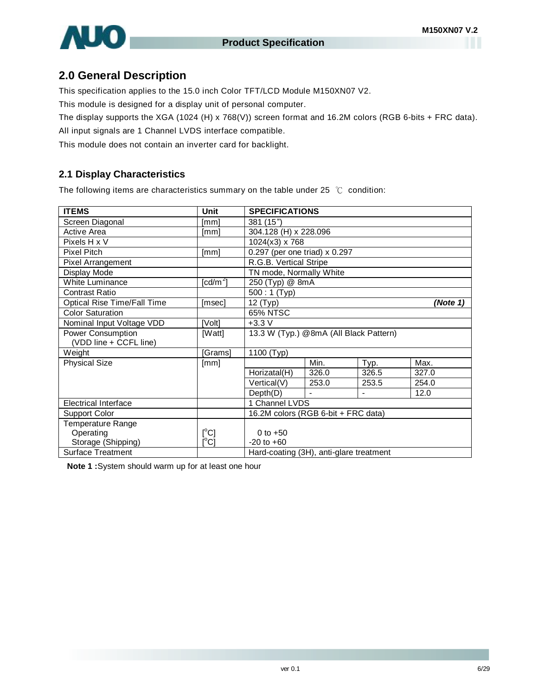## **2.0 General Description**

This specification applies to the 15.0 inch Color TFT/LCD Module M150XN07 V2.

This module is designed for a display unit of personal computer.

The display supports the XGA (1024 (H) x 768(V)) screen format and 16.2M colors (RGB 6-bits + FRC data).

All input signals are 1 Channel LVDS interface compatible.

This module does not contain an inverter card for backlight.

## **2.1 Display Characteristics**

The following items are characteristics summary on the table under 25 ℃ condition:

| <b>ITEMS</b>                | <b>Unit</b>   | <b>SPECIFICATIONS</b>                   |       |       |          |  |  |
|-----------------------------|---------------|-----------------------------------------|-------|-------|----------|--|--|
| Screen Diagonal             | [mm]          | 381 (15")                               |       |       |          |  |  |
| Active Area                 | [mm]          | 304.128 (H) x 228.096                   |       |       |          |  |  |
| Pixels H x V                |               | 1024(x3) x 768                          |       |       |          |  |  |
| <b>Pixel Pitch</b>          | [mm]          | 0.297 (per one triad) x 0.297           |       |       |          |  |  |
| Pixel Arrangement           |               | R.G.B. Vertical Stripe                  |       |       |          |  |  |
| Display Mode                |               | TN mode, Normally White                 |       |       |          |  |  |
| <b>White Luminance</b>      | [cd/m $^2$ ]  | 250 (Typ) @ 8mA                         |       |       |          |  |  |
| <b>Contrast Ratio</b>       |               | $500:1$ (Typ)                           |       |       |          |  |  |
| Optical Rise Time/Fall Time | [msec]        | $\overline{1}2$ (Typ)                   |       |       | (Note 1) |  |  |
| <b>Color Saturation</b>     |               | <b>65% NTSC</b>                         |       |       |          |  |  |
| Nominal Input Voltage VDD   | [Volt]        | $+3.3V$                                 |       |       |          |  |  |
| <b>Power Consumption</b>    | [Watt]        | 13.3 W (Typ.) @8mA (All Black Pattern)  |       |       |          |  |  |
| (VDD line + CCFL line)      |               |                                         |       |       |          |  |  |
| Weight                      | [Grams]       | 1100 (Typ)                              |       |       |          |  |  |
| <b>Physical Size</b>        | [mm]          |                                         | Min.  | Typ.  | Max.     |  |  |
|                             |               | Horizatal(H)                            | 326.0 | 326.5 | 327.0    |  |  |
|                             |               | Vertical(V)                             | 253.0 | 253.5 | 254.0    |  |  |
|                             |               | Depth(D)                                |       |       | 12.0     |  |  |
| <b>Electrical Interface</b> |               | 1 Channel LVDS                          |       |       |          |  |  |
| <b>Support Color</b>        |               | 16.2M colors (RGB 6-bit + FRC data)     |       |       |          |  |  |
| Temperature Range           |               |                                         |       |       |          |  |  |
| Operating                   | $[^{\circ}C]$ | 0 to $+50$                              |       |       |          |  |  |
| Storage (Shipping)          | $[^{\circ}C]$ | $-20$ to $+60$                          |       |       |          |  |  |
| <b>Surface Treatment</b>    |               | Hard-coating (3H), anti-glare treatment |       |       |          |  |  |

**Note 1 :**System should warm up for at least one hour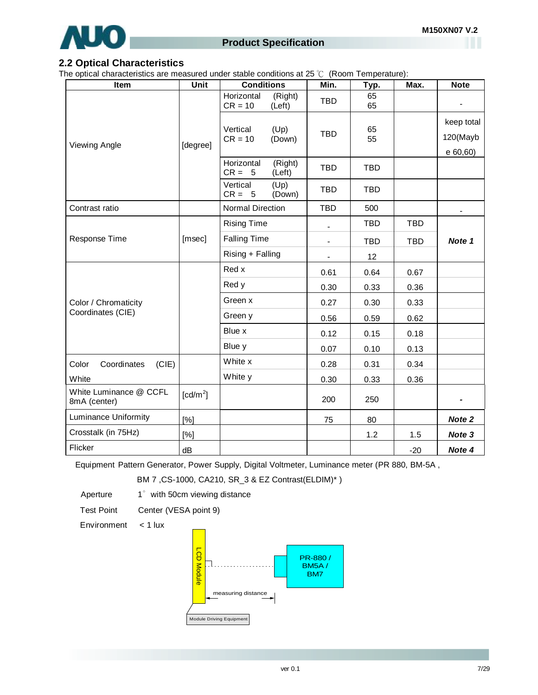

## **Product Specification**

## **2.2 Optical Characteristics**

The optical characteristics are measured under stable conditions at 25 ℃ (Room Temperature):

| <b>Item</b>                            | Unit                   | <b>Conditions</b>                            | Min.           | Typ.       | Max.       | <b>Note</b>            |
|----------------------------------------|------------------------|----------------------------------------------|----------------|------------|------------|------------------------|
|                                        |                        | Horizontal<br>(Right)<br>$CR = 10$<br>(Left) | <b>TBD</b>     | 65<br>65   |            |                        |
| <b>Viewing Angle</b>                   | [degree]               | (Up)<br>Vertical<br>$CR = 10$<br>(Down)      | <b>TBD</b>     | 65<br>55   |            | keep total<br>120(Mayb |
|                                        |                        | Horizontal<br>(Right)<br>$CR = 5$<br>(Left)  | <b>TBD</b>     | <b>TBD</b> |            | e 60,60)               |
|                                        |                        | Vertical<br>(Up)<br>$CR = 5$<br>(Down)       | <b>TBD</b>     | <b>TBD</b> |            |                        |
| Contrast ratio                         |                        | Normal Direction                             | <b>TBD</b>     | 500        |            | $\blacksquare$         |
|                                        |                        | <b>Rising Time</b>                           | $\frac{1}{2}$  | <b>TBD</b> | <b>TBD</b> |                        |
| Response Time                          | [msec]                 | <b>Falling Time</b>                          | $\blacksquare$ | <b>TBD</b> | <b>TBD</b> | Note 1                 |
|                                        |                        | Rising + Falling                             | $\blacksquare$ | 12         |            |                        |
|                                        |                        | Red x                                        | 0.61           | 0.64       | 0.67       |                        |
|                                        |                        | Red y                                        | 0.30           | 0.33       | 0.36       |                        |
| Color / Chromaticity                   |                        | Green x                                      | 0.27           | 0.30       | 0.33       |                        |
| Coordinates (CIE)                      |                        | Green y                                      | 0.56           | 0.59       | 0.62       |                        |
|                                        |                        | Blue x                                       | 0.12           | 0.15       | 0.18       |                        |
|                                        |                        | Blue y                                       | 0.07           | 0.10       | 0.13       |                        |
| Color<br>Coordinates<br>(CIE)          |                        | White x                                      | 0.28           | 0.31       | 0.34       |                        |
| White                                  |                        | White y                                      | 0.30           | 0.33       | 0.36       |                        |
| White Luminance @ CCFL<br>8mA (center) | $\lceil cd/m^2 \rceil$ |                                              | 200            | 250        |            |                        |
| Luminance Uniformity                   | [%]                    |                                              | 75             | 80         |            | Note 2                 |
| Crosstalk (in 75Hz)                    | [%]                    |                                              |                | 1.2        | 1.5        | Note 3                 |
| Flicker                                | dB                     |                                              |                |            | $-20$      | Note 4                 |

Equipment Pattern Generator, Power Supply, Digital Voltmeter, Luminance meter (PR 880, BM-5A ,

BM 7 ,CS-1000, CA210, SR\_3 & EZ Contrast(ELDIM)\* )

Aperture 1° with 50cm viewing distance

Test Point Center (VESA point 9)

Environment < 1 lux

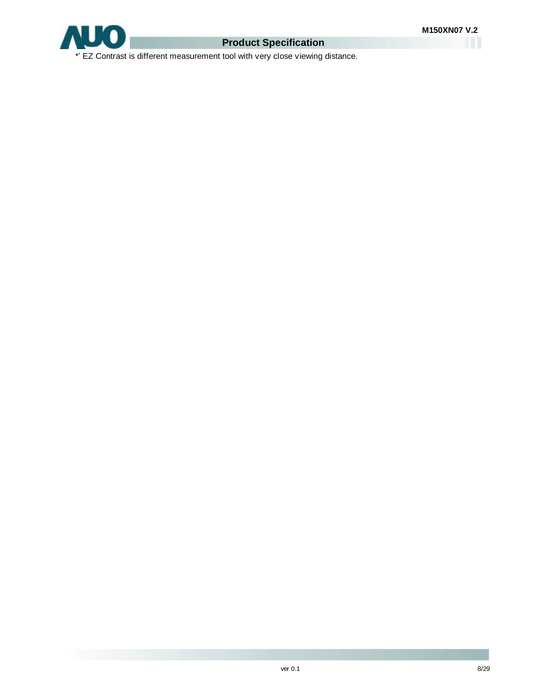

## **Product Specification**

\*' EZ Contrast is different measurement tool with very close viewing distance.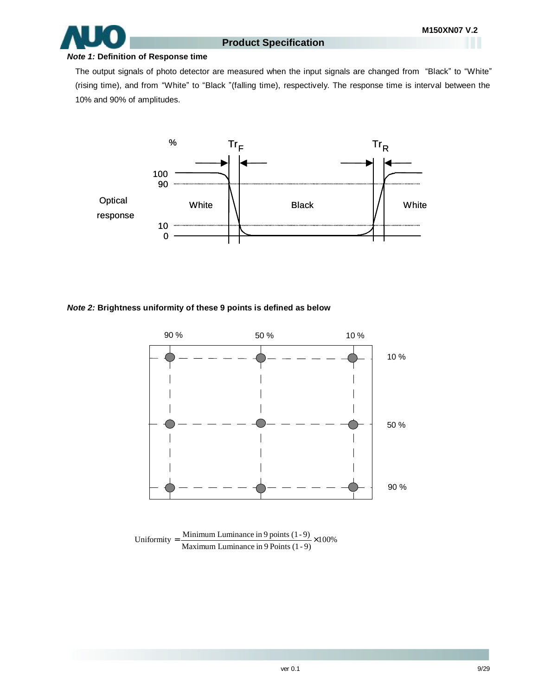

#### *Note 1:* **Definition of Response time**

The output signals of photo detector are measured when the input signals are changed from "Black" to "White" (rising time), and from "White" to "Black "(falling time), respectively. The response time is interval between the 10% and 90% of amplitudes.



#### *Note 2:* **Brightness uniformity of these 9 points is defined as below**



Uniformity =  $\frac{\text{Minimum Luminance in 9 points } (1-9)}{\text{Maximum Luminance in 9 Points } (1-9)} \times 100\%$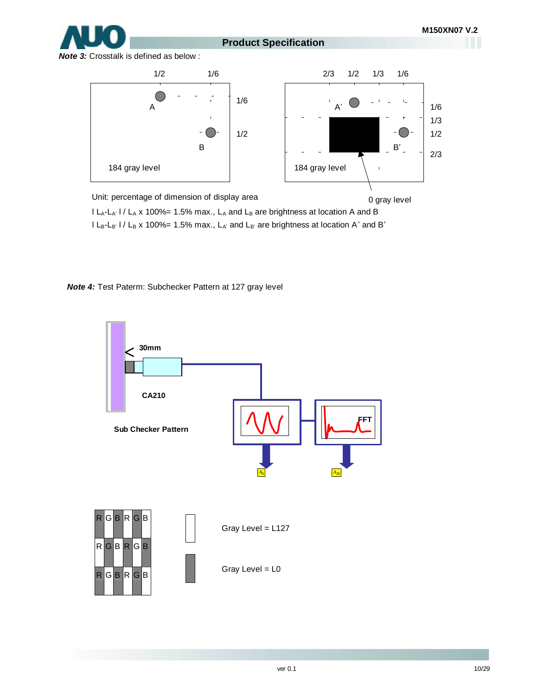**Product Specification**

*Note 3:* Crosstalk is defined as below :



Unit: percentage of dimension of display area I L<sub>A</sub>-L<sub>A'</sub> I / L<sub>A</sub> x 100%= 1.5% max., L<sub>A</sub> and L<sub>B</sub> are brightness at location A and B I L<sub>B</sub>-L<sub>B'</sub> I / L<sub>B</sub> x 100%= 1.5% max., L<sub>A'</sub> and L<sub>B'</sub> are brightness at location A' and B' 0 gray level

*Note 4:* Test Paterm: Subchecker Pattern at 127 gray level

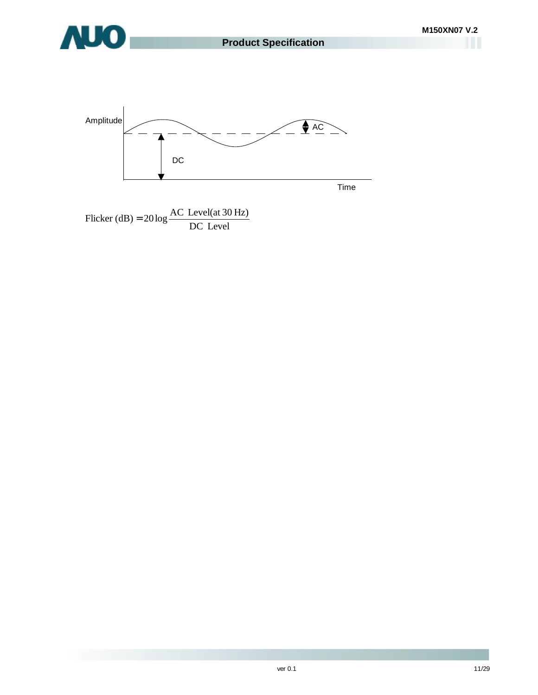

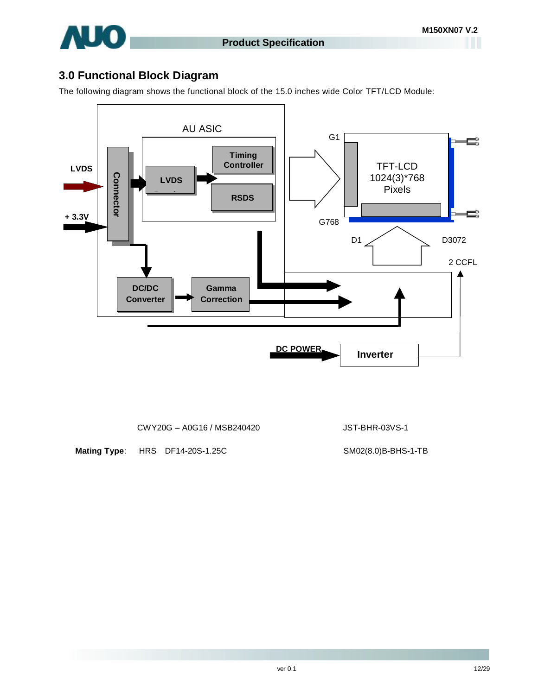

## **3.0 Functional Block Diagram**

The following diagram shows the functional block of the 15.0 inches wide Color TFT/LCD Module:



CWY20G – A0G16 / MSB240420 JST-BHR-03VS-1

**Mating Type**: HRS DF14-20S-1.25C SM02(8.0)B-BHS-1-TB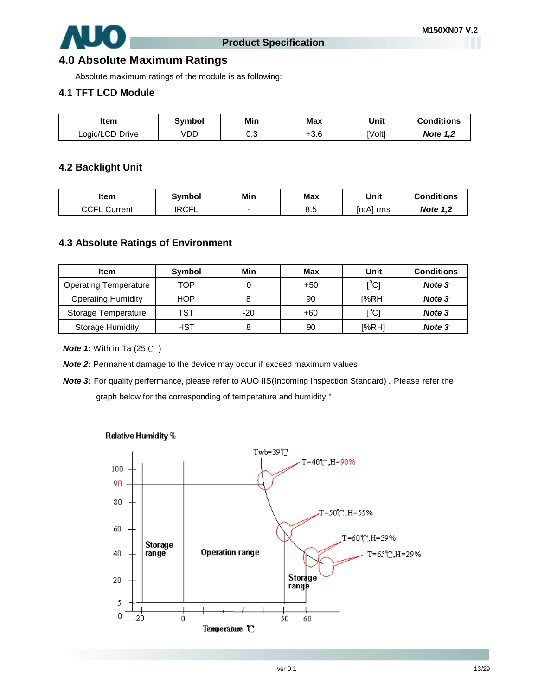

## **4.0 Absolute Maximum Ratings**

Absolute maximum ratings of the module is as following:

## **4.1 TFT LCD Module**

| Item            | Svmbol | Min      | <b>Max</b> | Unit   | <b>Conditions</b> |
|-----------------|--------|----------|------------|--------|-------------------|
| Logic/LCD Drive | VDD    | ົ<br>∪.∪ | ⊦3.6       | [Volt] | <b>Note 1,2</b>   |

## **4.2 Backlight Unit**

| ltem                | Svmbol       | Min | Max | Unit     | <b>Conditions</b> |
|---------------------|--------------|-----|-----|----------|-------------------|
| <b>CCFL Current</b> | <b>IRCFL</b> |     | 8.5 | [mA] rms | <b>Note 1,2</b>   |

## **4.3 Absolute Ratings of Environment**

| <b>Item</b>                  | Symbol     | Min   | Max   | Unit                                    | <b>Conditions</b> |
|------------------------------|------------|-------|-------|-----------------------------------------|-------------------|
| <b>Operating Temperature</b> | TOP        |       | $+50$ | $\mathsf{I}^\circ\mathsf{C} \mathsf{I}$ | Note 3            |
| <b>Operating Humidity</b>    | <b>HOP</b> |       | 90    | [%RH]                                   | Note 3            |
| Storage Temperature          | TST        | $-20$ | +60   | $\mathsf{I}^\circ\mathsf{C} \mathsf{I}$ | Note 3            |
| <b>Storage Humidity</b>      | <b>HST</b> |       | 90    | [%RH]                                   | Note 3            |

*Note 1:* With in Ta (25℃)

*Note 2:* Permanent damage to the device may occur if exceed maximum values

*Note 3:* For quality perfermance, please refer to AUO IIS(Incoming Inspection Standard) . Please refer the graph below for the corresponding of temperature and humidity."



Relative Humidity %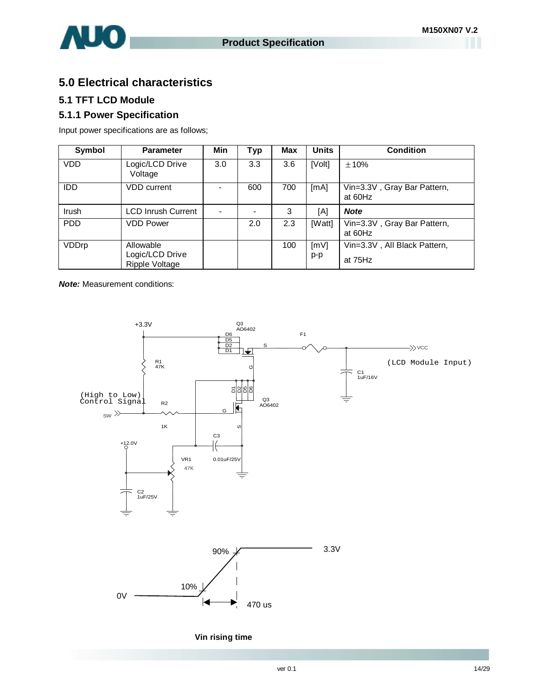

## **5.0 Electrical characteristics**

## **5.1 TFT LCD Module**

## **5.1.1 Power Specification**

Input power specifications are as follows;

| Symbol     | <b>Parameter</b>                               | Min | <b>Typ</b> | <b>Max</b> | <b>Units</b>                    | Condition                               |
|------------|------------------------------------------------|-----|------------|------------|---------------------------------|-----------------------------------------|
| <b>VDD</b> | Logic/LCD Drive<br>Voltage                     | 3.0 | 3.3        | 3.6        | [Volt]                          | $\pm 10\%$                              |
| <b>IDD</b> | <b>VDD</b> current                             |     | 600        | 700        | [mA]                            | Vin=3.3V, Gray Bar Pattern,<br>at 60Hz  |
| Irush      | <b>LCD Inrush Current</b>                      |     |            | 3          | [A]                             | <b>Note</b>                             |
| <b>PDD</b> | <b>VDD Power</b>                               |     | 2.0        | 2.3        | [Watt]                          | Vin=3.3V, Gray Bar Pattern,<br>at 60Hz  |
| VDDrp      | Allowable<br>Logic/LCD Drive<br>Ripple Voltage |     |            | 100        | $\lceil m \vee \rceil$<br>$p-p$ | Vin=3.3V, All Black Pattern,<br>at 75Hz |

*Note:* Measurement conditions:



#### **Vin rising time**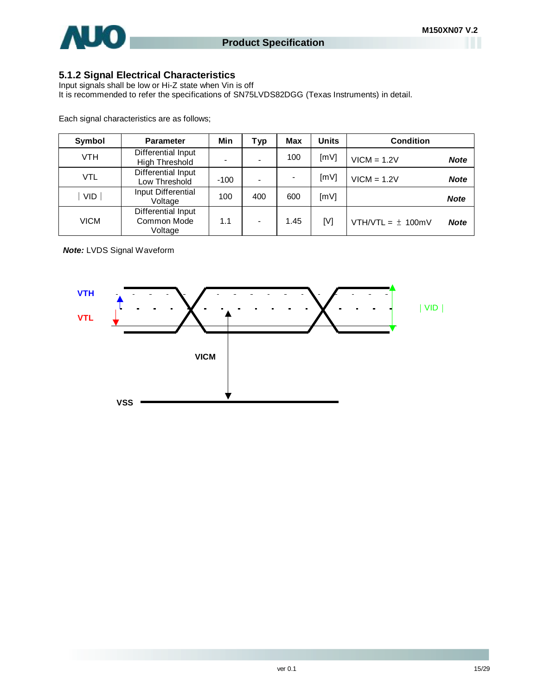

## **5.1.2 Signal Electrical Characteristics**

Input signals shall be low or Hi-Z state when Vin is off It is recommended to refer the specifications of SN75LVDS82DGG (Texas Instruments) in detail.

Each signal characteristics are as follows;

| Symbol     | <b>Parameter</b>                             | Min    | Typ | Max  | <b>Units</b> | <b>Condition</b>      |             |
|------------|----------------------------------------------|--------|-----|------|--------------|-----------------------|-------------|
| <b>VTH</b> | Differential Input<br>High Threshold         |        |     | 100  | [mV]         | $VICM = 1.2V$         | <b>Note</b> |
| <b>VTL</b> | Differential Input<br>Low Threshold          | $-100$ |     |      | [mV]         | $VICM = 1.2V$         | <b>Note</b> |
| <b>VID</b> | Input Differential<br>Voltage                | 100    | 400 | 600  | [mV]         |                       | <b>Note</b> |
| VICM       | Differential Input<br>Common Mode<br>Voltage | 1.1    |     | 1.45 | [V]          | VTH/VTL = $\pm$ 100mV | <b>Note</b> |

*Note:* LVDS Signal Waveform

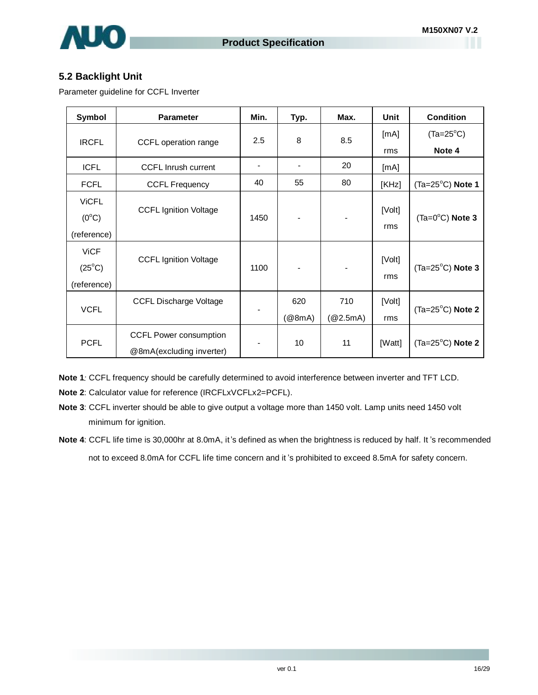

## **5.2 Backlight Unit**

Parameter guideline for CCFL Inverter

| Symbol                                        | <b>Parameter</b>                                          | Min.           | Typ.          | Max.            | Unit          | <b>Condition</b>          |
|-----------------------------------------------|-----------------------------------------------------------|----------------|---------------|-----------------|---------------|---------------------------|
|                                               |                                                           | 2.5            | 8             | 8.5             | [mA]          | $(Ta=25^{\circ}C)$        |
| <b>IRCFL</b>                                  | CCFL operation range                                      |                |               |                 | rms           | Note 4                    |
| <b>ICFL</b>                                   | <b>CCFL Inrush current</b>                                | $\blacksquare$ |               | 20              | [mA]          |                           |
| <b>FCFL</b>                                   | <b>CCFL Frequency</b>                                     | 40             | 55            | 80              | [KHz]         | $(Ta=25^{\circ}C)$ Note 1 |
| <b>ViCFL</b><br>$(0^{\circ}C)$                | <b>CCFL Ignition Voltage</b>                              | 1450           |               |                 | [Volt]        | $(Ta=0^{\circ}C)$ Note 3  |
| (reference)                                   |                                                           |                |               |                 | rms           |                           |
| <b>ViCF</b><br>$(25^{\circ}C)$<br>(reference) | <b>CCFL Ignition Voltage</b>                              | 1100           |               |                 | [Volt]<br>rms | $(Ta=25^{\circ}C)$ Note 3 |
| <b>VCFL</b>                                   | <b>CCFL Discharge Voltage</b>                             |                | 620<br>(@8mA) | 710<br>(@2.5mA) | [Volt]<br>rms | $(Ta=25^{\circ}C)$ Note 2 |
| <b>PCFL</b>                                   | <b>CCFL Power consumption</b><br>@8mA(excluding inverter) |                | 10            | 11              | [Watt]        | $(Ta=25^{\circ}C)$ Note 2 |

**Note 1***:* CCFL frequency should be carefully determined to avoid interference between inverter and TFT LCD.

**Note 2**: Calculator value for reference (IRCFLxVCFLx2=PCFL).

**Note 3**: CCFL inverter should be able to give output a voltage more than 1450 volt. Lamp units need 1450 volt minimum for ignition.

**Note 4**: CCFL life time is 30,000hr at 8.0mA, it's defined as when the brightness is reduced by half. It 's recommended not to exceed 8.0mA for CCFL life time concern and it 's prohibited to exceed 8.5mA for safety concern.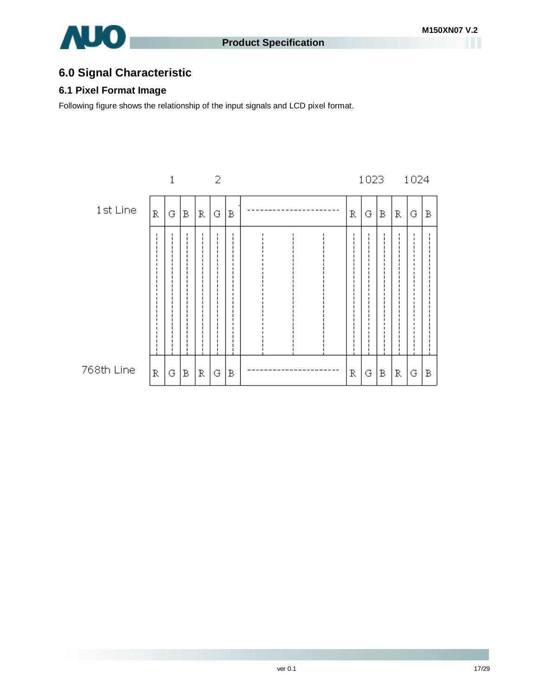

## **6.0 Signal Characteristic**

## **6.1 Pixel Format Image**

Following figure shows the relationship of the input signals and LCD pixel format.

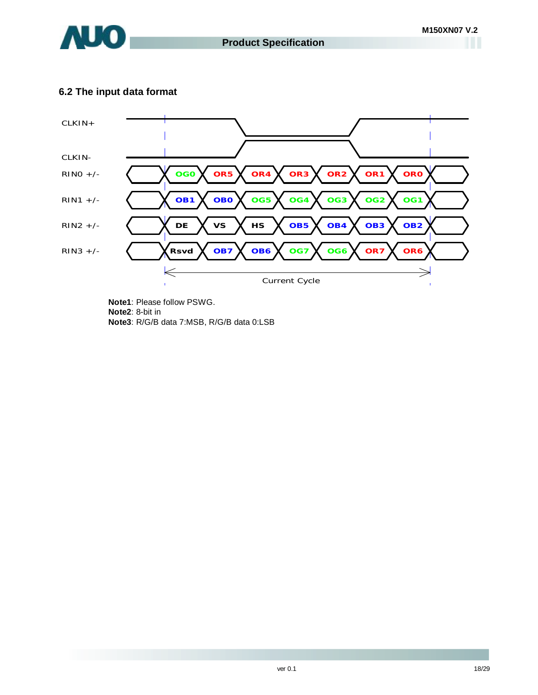

## **6.2 The input data format**



**Note1**: Please follow PSWG. **Note2**: 8-bit in **Note3**: R/G/B data 7:MSB, R/G/B data 0:LSB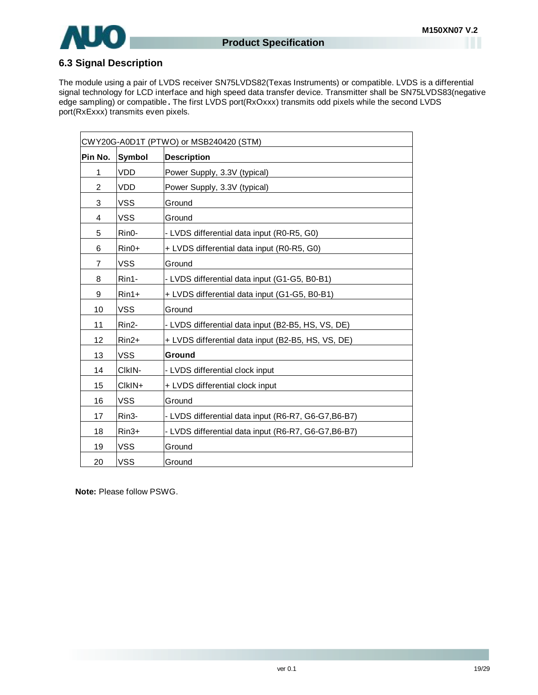

## **6.3 Signal Description**

The module using a pair of LVDS receiver SN75LVDS82(Texas Instruments) or compatible. LVDS is a differential signal technology for LCD interface and high speed data transfer device. Transmitter shall be SN75LVDS83(negative edge sampling) or compatible**.** The first LVDS port(RxOxxx) transmits odd pixels while the second LVDS port(RxExxx) transmits even pixels.

| CWY20G-A0D1T (PTWO) or MSB240420 (STM) |                    |                                                      |  |
|----------------------------------------|--------------------|------------------------------------------------------|--|
| Pin No.                                | Symbol             | <b>Description</b>                                   |  |
| 1                                      | <b>VDD</b>         | Power Supply, 3.3V (typical)                         |  |
| $\overline{2}$                         | <b>VDD</b>         | Power Supply, 3.3V (typical)                         |  |
| 3                                      | <b>VSS</b>         | Ground                                               |  |
| 4                                      | <b>VSS</b>         | Ground                                               |  |
| 5                                      | Rin <sub>0</sub> - | - LVDS differential data input (R0-R5, G0)           |  |
| 6                                      | $Rin0+$            | + LVDS differential data input (R0-R5, G0)           |  |
| $\overline{7}$                         | VSS                | Ground                                               |  |
| 8                                      | Rin1-              | - LVDS differential data input (G1-G5, B0-B1)        |  |
| 9                                      | $Rin1+$            | + LVDS differential data input (G1-G5, B0-B1)        |  |
| 10                                     | <b>VSS</b>         | Ground                                               |  |
| 11                                     | Rin <sub>2</sub>   | - LVDS differential data input (B2-B5, HS, VS, DE)   |  |
| 12                                     | $Rin2+$            | + LVDS differential data input (B2-B5, HS, VS, DE)   |  |
| 13                                     | <b>VSS</b>         | <b>Ground</b>                                        |  |
| 14                                     | CIKIN-             | - LVDS differential clock input                      |  |
| 15                                     | $C$ $K$ $N+$       | + LVDS differential clock input                      |  |
| 16                                     | <b>VSS</b>         | Ground                                               |  |
| 17                                     | Rin3-              | - LVDS differential data input (R6-R7, G6-G7, B6-B7) |  |
| 18                                     | $Rin3+$            | - LVDS differential data input (R6-R7, G6-G7, B6-B7) |  |
| 19                                     | <b>VSS</b>         | Ground                                               |  |
| 20                                     | <b>VSS</b>         | Ground                                               |  |

**Note:** Please follow PSWG.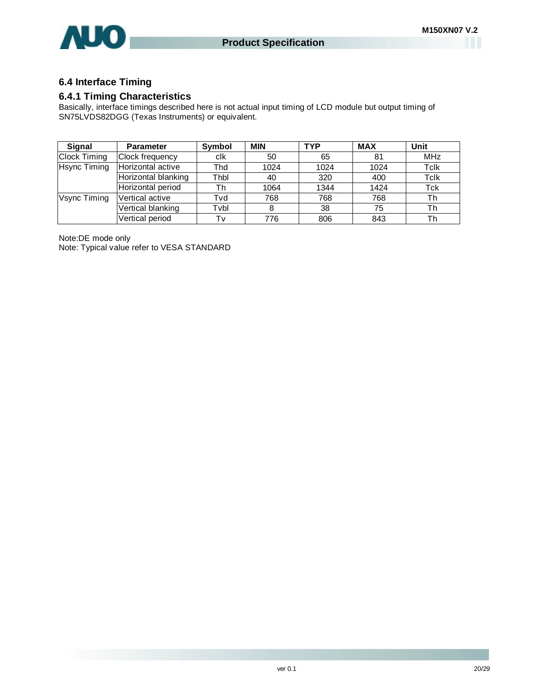

## **6.4 Interface Timing**

## **6.4.1 Timing Characteristics**

Basically, interface timings described here is not actual input timing of LCD module but output timing of SN75LVDS82DGG (Texas Instruments) or equivalent.

| Signal              | <b>Parameter</b>    | Symbol | <b>MIN</b> | <b>TYP</b> | <b>MAX</b> | Unit       |
|---------------------|---------------------|--------|------------|------------|------------|------------|
| <b>Clock Timing</b> | Clock frequency     | clk    | 50         | 65         | 81         | <b>MHz</b> |
| <b>Hsync Timing</b> | Horizontal active   | Thd    | 1024       | 1024       | 1024       | Tclk       |
|                     | Horizontal blanking | Thbl   | 40         | 320        | 400        | Tclk       |
|                     | Horizontal period   | Th     | 1064       | 1344       | 1424       | Tck        |
| Vsync Timing        | Vertical active     | Tvd    | 768        | 768        | 768        | Th         |
|                     | Vertical blanking   | Tvbl   | 8          | 38         | 75         | Th         |
|                     | Vertical period     | Tv     | 776        | 806        | 843        | Th         |

Note:DE mode only

Note: Typical value refer to VESA STANDARD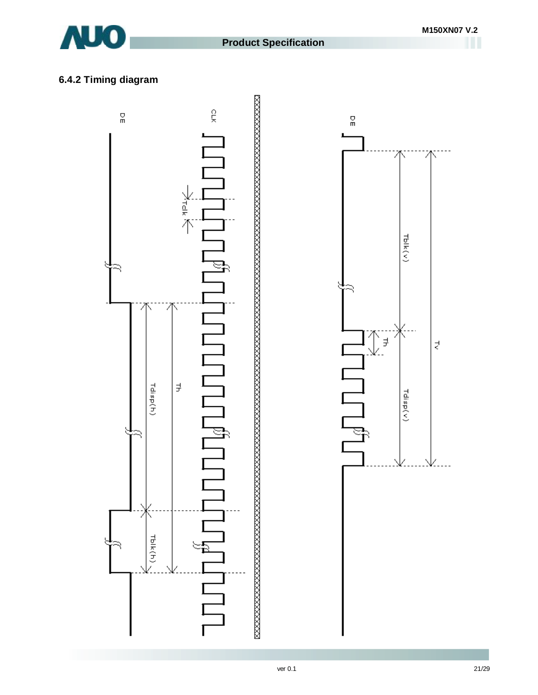

# **6.4.2 Timing diagram**



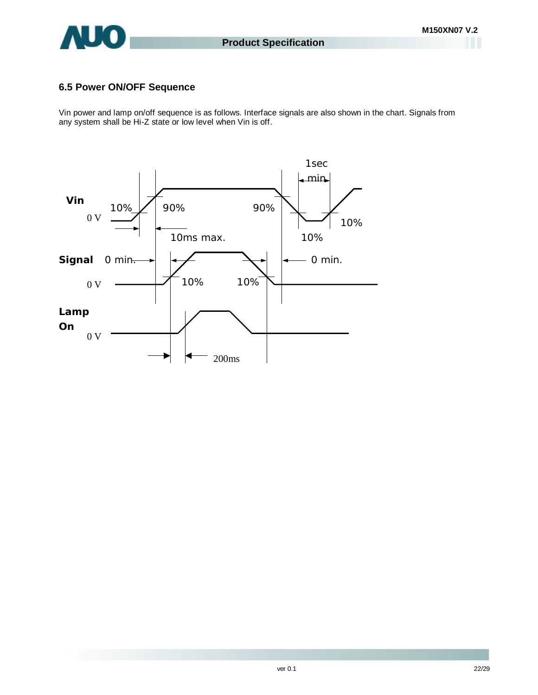

## **6.5 Power ON/OFF Sequence**

Vin power and lamp on/off sequence is as follows. Interface signals are also shown in the chart. Signals from any system shall be Hi-Z state or low level when Vin is off.

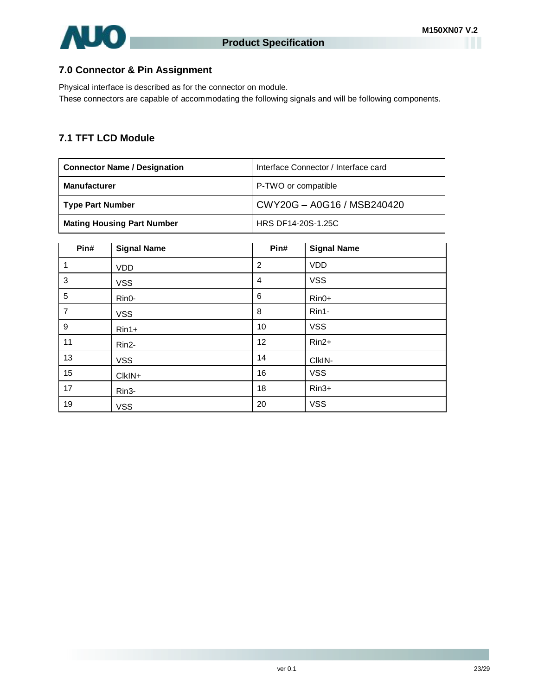

## **7.0 Connector & Pin Assignment**

Physical interface is described as for the connector on module. These connectors are capable of accommodating the following signals and will be following components.

## **7.1 TFT LCD Module**

| <b>Connector Name / Designation</b> | Interface Connector / Interface card |
|-------------------------------------|--------------------------------------|
| <b>Manufacturer</b>                 | P-TWO or compatible                  |
| Type Part Number                    | CWY20G - A0G16 / MSB240420           |
| <b>Mating Housing Part Number</b>   | HRS DF14-20S-1.25C                   |

| Pin#           | <b>Signal Name</b> | Pin#           | <b>Signal Name</b> |
|----------------|--------------------|----------------|--------------------|
| 1              | <b>VDD</b>         | $\overline{2}$ | <b>VDD</b>         |
| $\mathbf{3}$   | <b>VSS</b>         | $\overline{4}$ | <b>VSS</b>         |
| 5              | Rin0-              | 6              | $Rin0+$            |
| $\overline{7}$ | <b>VSS</b>         | 8              | Rin1-              |
| $9\,$          | $Rin1+$            | 10             | <b>VSS</b>         |
| 11             | Rin <sub>2</sub> - | 12             | $Rin2+$            |
| 13             | <b>VSS</b>         | 14             | CIkIN-             |
| 15             | CIkIN+             | 16             | <b>VSS</b>         |
| 17             | Rin3-              | 18             | $Rin3+$            |
| 19             | <b>VSS</b>         | 20             | <b>VSS</b>         |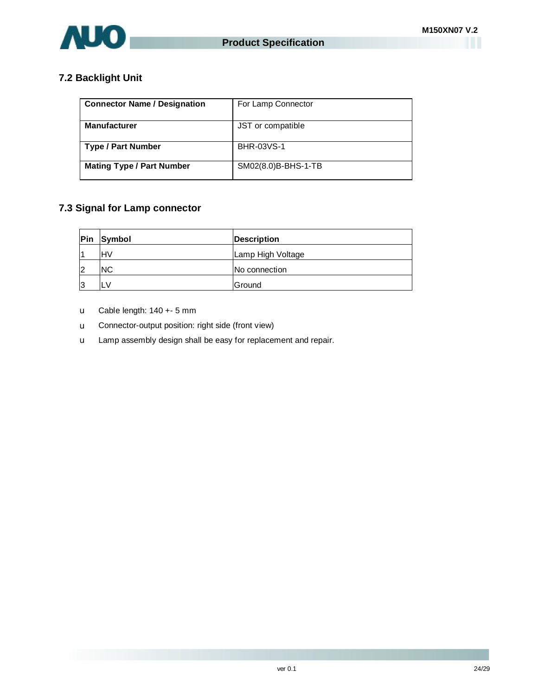

## **7.2 Backlight Unit**

| <b>Connector Name / Designation</b> | For Lamp Connector  |
|-------------------------------------|---------------------|
| <b>Manufacturer</b>                 | JST or compatible   |
| <b>Type / Part Number</b>           | BHR-03VS-1          |
| <b>Mating Type / Part Number</b>    | SM02(8.0)B-BHS-1-TB |

## **7.3 Signal for Lamp connector**

| Pin | Symbol     | <b>Description</b> |
|-----|------------|--------------------|
|     | <b>IHV</b> | Lamp High Voltage  |
| 12  | <b>NC</b>  | No connection      |
| 13  |            | Ground             |

- u Cable length: 140 +- 5 mm
- u Connector-output position: right side (front view)
- u Lamp assembly design shall be easy for replacement and repair.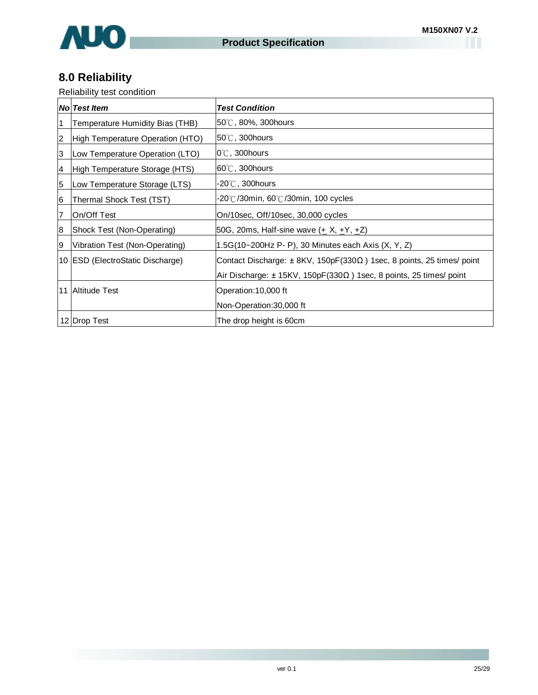

# **8.0 Reliability**

Reliability test condition

|                | <b>No Test Item</b>                | <b>Test Condition</b>                                                              |
|----------------|------------------------------------|------------------------------------------------------------------------------------|
| $\vert$ 1      | Temperature Humidity Bias (THB)    | $50^{\circ}$ C, 80%, 300 hours                                                     |
| $\overline{c}$ | High Temperature Operation (HTO)   | $50^{\circ}$ C, 300 hours                                                          |
| 3              | Low Temperature Operation (LTO)    | $0^{\circ}$ C, 300 hours                                                           |
| 14             | High Temperature Storage (HTS)     | $60^{\circ}$ C, 300 hours                                                          |
| 5              | Low Temperature Storage (LTS)      | $-20^{\circ}$ C, 300hours                                                          |
| 6              | Thermal Shock Test (TST)           | -20℃/30min, 60℃/30min, 100 cycles                                                  |
| 7              | On/Off Test                        | On/10sec, Off/10sec, 30,000 cycles                                                 |
| 8              | Shock Test (Non-Operating)         | 50G, 20ms, Half-sine wave (+ X, +Y, +Z)                                            |
| 9              | Vibration Test (Non-Operating)     | 1.5G(10~200Hz P- P), 30 Minutes each Axis (X, Y, Z)                                |
|                | 10   ESD (ElectroStatic Discharge) | Contact Discharge: $\pm$ 8KV, 150pF(330 $\Omega$ ) 1sec, 8 points, 25 times/ point |
|                |                                    | Air Discharge: $\pm$ 15KV, 150pF(330 $\Omega$ ) 1sec, 8 points, 25 times/ point    |
|                | 11 Altitude Test                   | Operation: 10,000 ft                                                               |
|                |                                    | Non-Operation:30,000 ft                                                            |
|                | 12 Drop Test                       | The drop height is 60cm                                                            |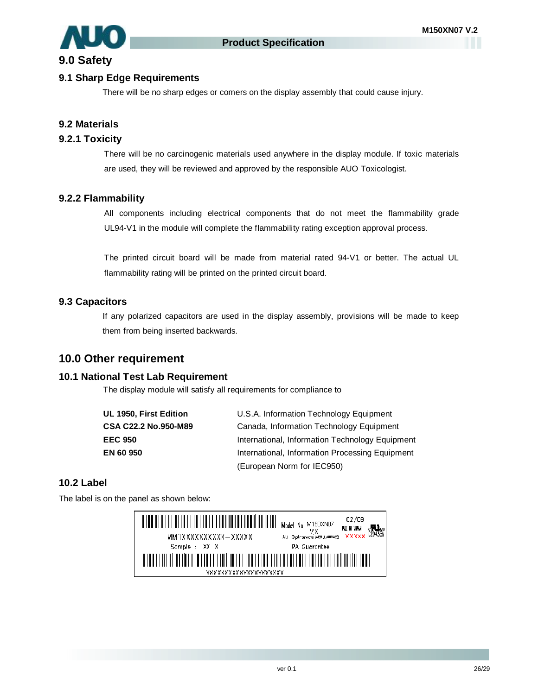## **9.0 Safety**

### **9.1 Sharp Edge Requirements**

There will be no sharp edges or comers on the display assembly that could cause injury.

## **9.2 Materials**

### **9.2.1 Toxicity**

There will be no carcinogenic materials used anywhere in the display module. If toxic materials are used, they will be reviewed and approved by the responsible AUO Toxicologist.

### **9.2.2 Flammability**

All components including electrical components that do not meet the flammability grade UL94-V1 in the module will complete the flammability rating exception approval process.

The printed circuit board will be made from material rated 94-V1 or better. The actual UL flammability rating will be printed on the printed circuit board.

### **9.3 Capacitors**

If any polarized capacitors are used in the display assembly, provisions will be made to keep them from being inserted backwards.

## **10.0 Other requirement**

### **10.1 National Test Lab Requirement**

The display module will satisfy all requirements for compliance to

| UL 1950, First Edition | U.S.A. Information Technology Equipment         |
|------------------------|-------------------------------------------------|
| CSA C22.2 No.950-M89   | Canada, Information Technology Equipment        |
| EEC 950                | International, Information Technology Equipment |
| EN 60 950              | International, Information Processing Equipment |
|                        | (European Norm for IEC950)                      |

### **10.2 Label**

The label is on the panel as shown below:

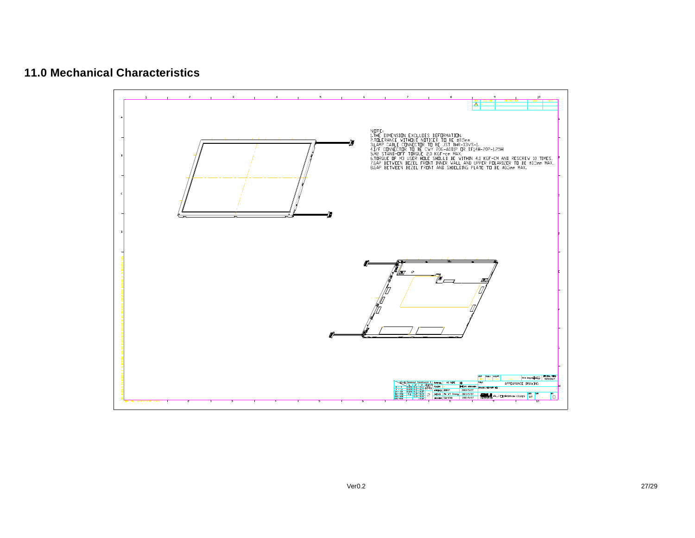## **11.0 Mechanical Characteristics**

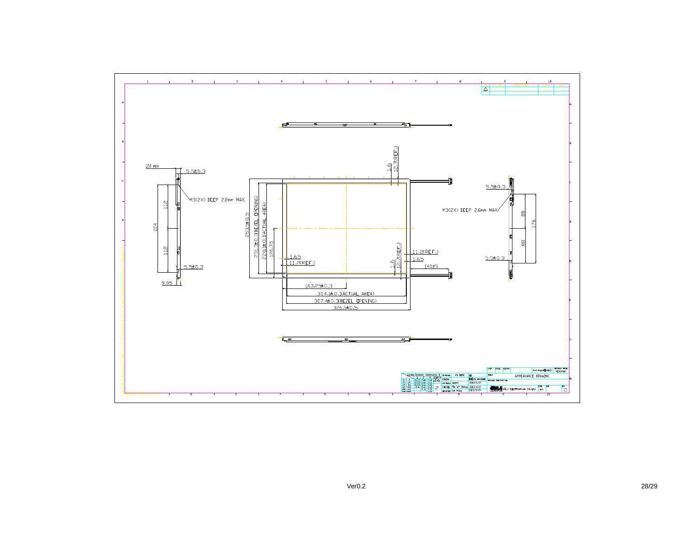